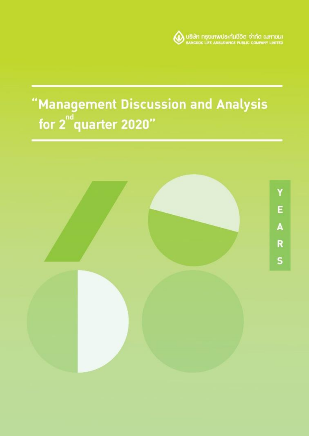

# "Management Discussion and Analysis<br>for 2"quarter 2020"

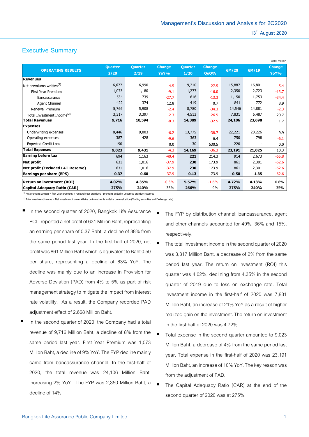# **Executive Summary**

|                                        |                |                |               |                |               |        |        | Baht, million |
|----------------------------------------|----------------|----------------|---------------|----------------|---------------|--------|--------|---------------|
| <b>OPERATING RESULTS</b>               | <b>Quarter</b> | <b>Quarter</b> | <b>Change</b> | <b>Quarter</b> | <b>Change</b> | 6M/20  | 6M/19  | <b>Change</b> |
|                                        | 2/20           | 2/19           | YoY%          | 1/20           | <b>QoQ%</b>   |        |        | YoY%          |
| <b>Revenues</b>                        |                |                |               |                |               |        |        |               |
| Net premiums written $(1)$             | 6,677          | 6,990          | $-4.5$        | 9,210          | $-27.5$       | 15,887 | 16,801 | $-5.4$        |
| First Year Premium                     | 1,073          | 1,180          | $-9.1$        | 1,277          | $-16.0$       | 2,350  | 2,723  | $-13.7$       |
| Bancassurance                          | 534            | 739            | $-27.7$       | 616            | $-13.3$       | 1,150  | 1,753  | $-34.4$       |
| Agent Channel                          | 422            | 374            | 12.8          | 419            | 0.7           | 841    | 772    | 8.9           |
| Renewal Premium                        | 5,766          | 5,908          | $-2.4$        | 8,780          | $-34.3$       | 14,546 | 14,881 | $-2.3$        |
| Total Investment Income <sup>(2)</sup> | 3,317          | 3,397          | $-2.3$        | 4,513          | $-26.5$       | 7,831  | 6,487  | 20.7          |
| <b>Total Revenues</b>                  | 9,716          | 10,594         | $-8.3$        | 14,389         | $-32.5$       | 24,106 | 23,698 | 1.7           |
| <b>Expenses</b>                        |                |                |               |                |               |        |        |               |
| Underwriting expenses                  | 8,446          | 9,003          | $-6.2$        | 13,775         | $-38.7$       | 22,221 | 20,226 | 9.9           |
| Operating expenses                     | 387            | 428            | $-9.6$        | 363            | 6.4           | 750    | 798    | $-6.1$        |
| <b>Expected Credit Loss</b>            | 190            |                | 0.0           | 30             | 530.5         | 220    |        | 0.0           |
| <b>Total Expenses</b>                  | 9,023          | 9,431          | $-4.3$        | 14,169         | $-36.3$       | 23,191 | 21,025 | 10.3          |
| <b>Earning before tax</b>              | 694            | 1,163          | $-40.4$       | 221            | 214.3         | 914    | 2,673  | $-65.8$       |
| Net profit                             | 631            | 1,016          | $-37.9$       | 230            | 173.9         | 861    | 2,301  | $-62.6$       |
| Net profit (Excluded LAT Reserve)      | 631            | 1,016          | $-37.9$       | 230            | 173.9         | 861    | 2,301  | $-62.6$       |
| <b>Earnings per share (EPS)</b>        | 0.37           | 0.60           | $-37.9$       | 0.13           | 173.9         | 0.50   | 1.35   | $-62.6$       |
| <b>Return on investment (ROI)</b>      | 4.02%          | 4.35%          | $-0.3%$       | 5.57%          | $-1.6%$       | 4.72%  | 4.13%  | 0.6%          |
| Capital Adequacy Ratio (CAR)           | 275%           | 240%           | 35%           | 266%           | 9%            | 275%   | 240%   | 35%           |

 $<sup>(1)</sup>$  Net premiums written = first year premiums + renewal year premiums - premiums ceded  $\pm$  unearned premium reserves</sup>

 $^{(2)}$  Total investment income = Net investment income +Gains on investments + Gains on revaluation (Trading securities and Exchange rate)

- In the second quarter of 2020, Bangkok Life Assurance PCL. reported a net profit of 631 Million Baht, representing an earning per share of 0.37 Baht, a decline of 38% from the same period last year. In the first-half of 2020, net profit was 861 Million Baht which is equivalent to Baht 0.50 per share, representing a decline of 63% YoY. The decline was mainly due to an increase in Provision for Adverse Deviation (PAD) from 4% to 5% as part of risk management strategy to mitigate the impact from interest rate volatility. As a result, the Company recorded PAD adjustment effect of 2,668 Million Baht.
- In the second quarter of 2020, the Company had a total revenue of 9,716 Million Baht, a decline of 8% from the same period last year. First Year Premium was 1,073 Million Baht, a decline of 9% YoY. The FYP decline mainly came from bancassurance channel. In the first-half of 2020, the total revenue was 24,106 Million Baht, increasing 2% YoY. The FYP was 2,350 Million Baht, a decline of 14%.

 The FYP by distribution channel: bancassurance, agent and other channels accounted for 49%, 36% and 15%, respectively.

- The total investment income in the second quarter of 2020 was 3,317 Million Baht, a decrease of 2% from the same period last year. The return on investment (ROI) this quarter was 4.02%, declining from 4.35% in the second quarter of 2019 due to loss on exchange rate. Total investment income in the first-half of 2020 was 7,831 Million Baht, an increase of 21% YoY as a result of higher realized gain on the investment. The return on investment in the first-half of 2020 was 4.72%.
- Total expense in the second quarter amounted to 9,023 Million Baht, a decrease of 4% from the same period last year. Total expense in the first-half of 2020 was 23,191 Million Baht, an increase of 10% YoY. The key reason was from the adjustment of PAD.
	- The Capital Adequacy Ratio (CAR) at the end of the second quarter of 2020 was at 275%.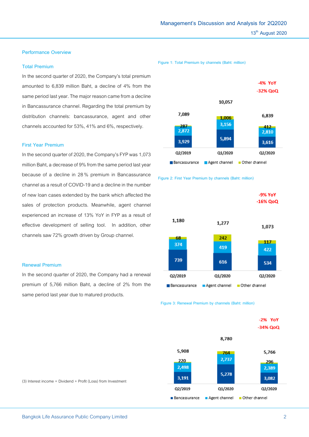#### **Performance Overview**

#### **Total Premium**

In the second quarter of 2020, the Company's total premium amounted to 6,839 million Baht, a decline of 4% from the same period last year. The major reason came from a decline in Bancassurance channel. Regarding the total premium by distribution channels: bancassurance, agent and other channels accounted for 53%, 41% and 6%, respectively.

## **First Year Premium**

In the second quarter of 2020, the Company's FYP was 1,073 million Baht, a decrease of 9% from the same period lastyear because of a decline in 28% premium in Bancassurance channel as a result of COVID-19 and a decline in the number of new loan cases extended by the bank which affected the sales of protection products. Meanwhile, agent channel experienced an increase of 13% YoY in FYP as a result of effective development of selling tool. In addition, other channels saw 72% growth driven by Group channel.

#### **Renewal Premium**

In the second quarter of 2020, the Company had a renewal premium of 5,766 million Baht, a decline of 2% from the same period last year due to matured products.

**Figure 1: Total Premium by channels (Baht: million)**







 **Figure 3: Renewal Premium by channels (Baht: million)**

|               |         | -2% YoY<br>$-34%$ QoQ       |  |
|---------------|---------|-----------------------------|--|
|               | 8,780   |                             |  |
| 5,908         | 764     | 5,766                       |  |
| 220           | 2,737   | 296                         |  |
| 2,498         |         | 2,389                       |  |
| 3,191         | 5,278   | 3,082                       |  |
| Q2/2019       | Q1/2020 | Q2/2020                     |  |
| Bancassurance |         | Agent channel Other channel |  |

(3) Interest income + Dividend + Profit (Loss) from Investment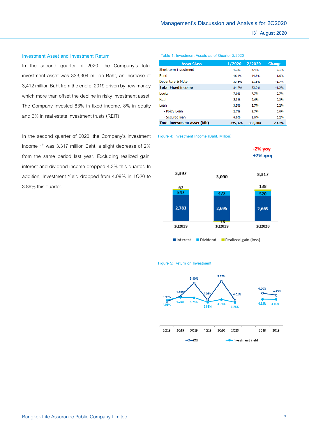#### **Investment Asset and Investment Return**

In the second quarter of 2020, the Company's total investment asset was 333,304 million Baht, an increase of 3,412 million Baht from the end of 2019 driven by new money which more than offset the decline in risky investment asset. The Company invested 83% in fixed income, 8% in equity and 6% in real estate investment trusts (REIT).

In the second quarter of 2020, the Company's investment income  $^{(3)}$  was 3,317 million Baht, a slight decrease of 2% from the same period last year. Excluding realized gain, interest and dividend income dropped 4.3% this quarter. In addition, Investment Yield dropped from 4.09% in 1Q20 to 3.86% this quarter.

#### **Table 1: Investment Assets as of Quarter 2/2020**

| <b>Asset Class</b>                 | 1/2020  | 2/2020  | <b>Change</b> |
|------------------------------------|---------|---------|---------------|
| Short-term investment              | 4.3%    | 6.4%    | 2.1%          |
| <b>Bond</b>                        | 46.4%   | 44.8%   | $-1.6%$       |
| Debenture & Note                   | 33.5%   | 31.8%   | $-1.7%$       |
| <b>Total Fixed income</b>          | 84.2%   | 83.0%   | $-1.2%$       |
| Equity                             | 7.0%    | 7.7%    | 0.7%          |
| <b>RFIT</b>                        | 5.3%    | 5.6%    | 0.3%          |
| I oan                              | 3.5%    | 3.7%    | 0.2%          |
| - Policy Loan                      | 2.7%    | 2.7%    | 0.0%          |
| - Secured loan                     | 0.8%    | 1.0%    | 0.2%          |
| <b>Total investment asset (Mb)</b> | 325,324 | 333.304 | 2.45%         |

**Figure 4: Investment Income (Baht, Million)**



**Figure 5: Return on Investment**

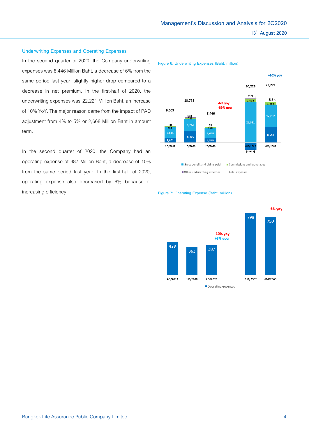# In the second quarter of 2020, the Company underwriting

**Underwriting Expenses and Operating Expenses**

expenses was 8,446 Million Baht, a decrease of 6% from the same period last year, slightly higher drop compared to a decrease in net premium. In the first-half of 2020, the underwriting expenses was 22,221 Million Baht, an increase of 10% YoY. The major reason came from the impact of PAD adjustment from 4% to 5% or 2,668 Million Baht in amount term.

In the second quarter of 2020, the Company had an operating expense of 387 Million Baht, a decrease of 10% from the same period last year. In the first-half of 2020, operating expense also decreased by 6% because of increasing efficiency.



#### **Figure 7: Operating Expense (Baht, million)**

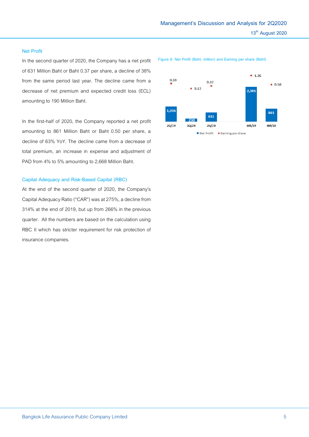#### **Net Profit**

In the second quarter of 2020, the Company has a net profit of 631 Million Baht or Baht 0.37 per share, a decline of 38% from the same period last year. The decline came from a decrease of net premium and expected credit loss (ECL) amounting to 190 Million Baht.

In the first-half of 2020, the Company reported a net profit amounting to 861 Million Baht or Baht 0.50 per share, a decline of 63% YoY. The decline came from a decrease of total premium, an increase in expense and adjustment of PAD from 4% to 5% amounting to 2,668 Million Baht.

## **Capital Adequacy and Risk-Based Capital (RBC)**

At the end of the second quarter of 2020, the Company's Capital Adequacy Ratio ("CAR") was at 275%, a decline from 314% at the end of 2019, but up from 266% in the previous quarter. All the numbers are based on the calculation using RBC II which has stricter requirement for risk protection of insurance companies.

**Figure 8: Net Profit (Baht, million) and Earning per share (Baht)**

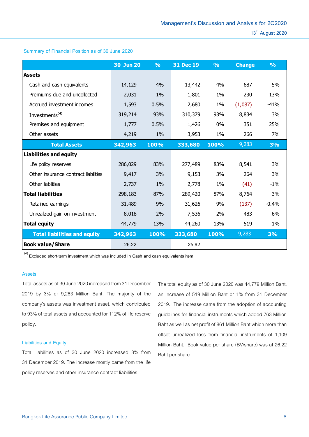# **30 Jun 20 % 31 Dec 19 % Change % Assets** Cash and cash equivalents 14,129 4% 13,442 4% 687 5% Premiums due and uncollected 2,031 1% 1,801 1% 230 13% Accrued investment incomes 1,593 0.5% 2,680 1% (1,087) -41% Investments<sup>(4)</sup> 319,214 93% 310,379 93% 8,834 3% Premises and equipment 1,777 0.5% 1,426 0% 351 25% Other assets 4,219 1% 3,953 1% 266 7% **nts<sup>(4)</sup> 319,214** 93% 310,379 93% 8,834 3%<br>
and equipment 1,777 0.5% 1,426 0% 351 25%<br>
ets 4,219 1% 3,953 1% 266 7%<br> **Total Assets 342,963 100% 333,680 100%** 9,283 3% **Liabilities and equity** Life policy reserves 286,029 83% 277,489 83% 8,541 3% Other insurance contract liabilities  $9.417$   $3\%$   $9.153$   $3\%$   $264$   $3\%$ Other liabilities 2,737 1% 2,778 1% (41) -1% **Total liabilities** 298,183 87% 289,420 87% 8,764 3% Retained earnings 31,489 9% 31,626 9% (137) -0.4% Unrealized gain on investment 8,018 2% 7,536 2% 483 6% **Total equity 13% 613% 13% 519 1% 1% 61% 144,260 13% 519** 1% **Example 20 arrings** 31,489 9% 31,626 9% (137) -0.4%<br> **Total liabilities and equity** 342,963 100% 333,680 100% 9,283 3%<br> **Total liabilities and equity** 342,963 100% 333,680 100% 9,283 3%

**Summary of Financial Position as of 30 June 2020**

**(4) Excluded short-term investment which was included in Cash and cash equivalents item**

**Book value/Share 26.22 25.92**

#### **Assets**

Total assets as of 30 June 2020 increased from 31 December 2019 by 3% or 9,283 Million Baht. The majority of the company's assets was investment asset, which contributed to 93% of total assets and accounted for 112% of life reserve policy.

#### **Liabilities and Equity**

Total liabilities as of 30 June 2020 increased 3% from 31 December 2019. The increase mostly came from the life policy reserves and other insurance contract liabilities.

The total equity as of 30 June 2020 was 44,779 Million Baht, an increase of 519 Million Baht or 1% from 31 December 2019. The increase came from the adoption of accounting guidelines for financial instruments which added 763 Million Baht as well as net profit of 861 Million Baht which more than offset unrealized loss from financial instruments of 1,109 Million Baht. Book value per share (BV/share) was at 26.22 Baht per share.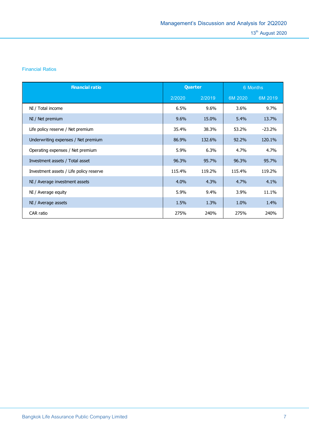# **Financial Ratios**

| <b>Financial ratio</b>                  | Quarter |        | 6 Months |          |
|-----------------------------------------|---------|--------|----------|----------|
|                                         | 2/2020  | 2/2019 | 6M 2020  | 6M 2019  |
| NI / Total income                       | 6.5%    | 9.6%   | 3.6%     | 9.7%     |
| NI / Net premium                        | 9.6%    | 15.0%  | 5.4%     | 13.7%    |
| Life policy reserve / Net premium       | 35.4%   | 38.3%  | 53.2%    | $-23.2%$ |
| Underwriting expenses / Net premium     | 86.9%   | 132.6% | 92.2%    | 120.1%   |
| Operating expenses / Net premium        | 5.9%    | 6.3%   | 4.7%     | 4.7%     |
| Investment assets / Total asset         | 96.3%   | 95.7%  | 96.3%    | 95.7%    |
| Investment assets / Life policy reserve | 115.4%  | 119.2% | 115.4%   | 119.2%   |
| NI / Average investment assets          | 4.0%    | 4.3%   | 4.7%     | 4.1%     |
| NI / Average equity                     | 5.9%    | 9.4%   | 3.9%     | 11.1%    |
| NI / Average assets                     | 1.5%    | 1.3%   | 1.0%     | 1.4%     |
| CAR ratio                               | 275%    | 240%   | 275%     | 240%     |